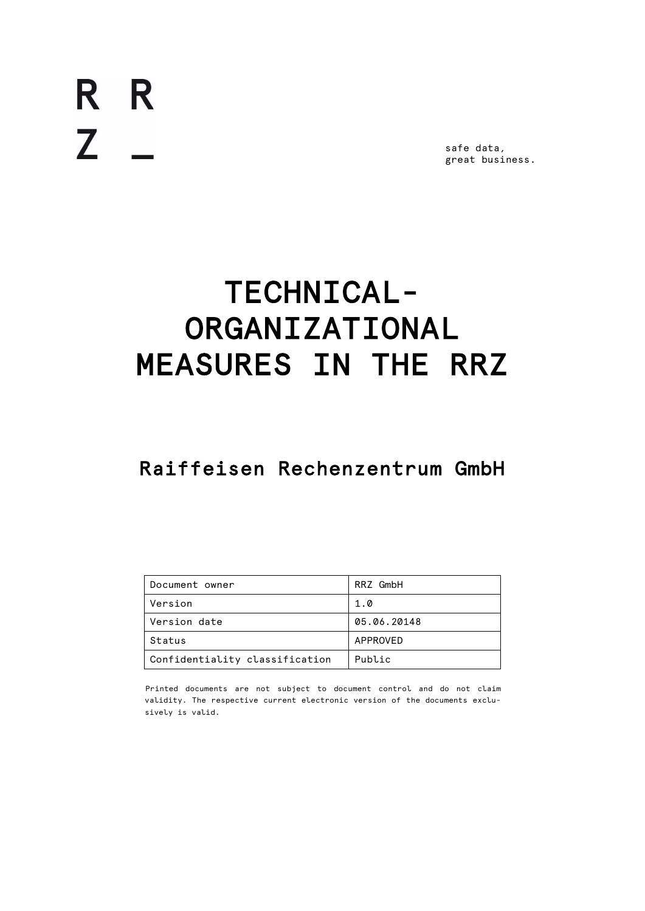R R  $Z$   $-$ 

safe data, great business.

# TECHNICAL-ORGANIZATIONAL MEASURES IN THE RRZ

# Raiffeisen Rechenzentrum GmbH

| Document owner                 | RRZ GmbH    |
|--------------------------------|-------------|
| Version                        | 1.0         |
| Version date                   | 05.06.20148 |
| Status                         | APPROVED    |
| Confidentiality classification | Public      |

Printed documents are not subject to document control and do not claim validity. The respective current electronic version of the documents exclusively is valid.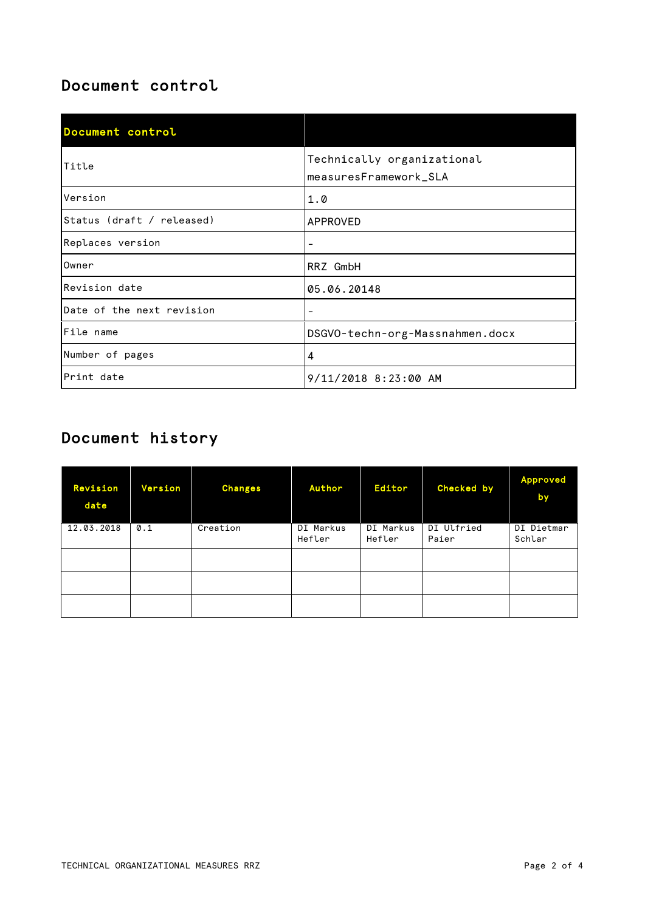# Document control

| Document control          |                                                     |
|---------------------------|-----------------------------------------------------|
| Title                     | Technically organizational<br>measuresFramework_SLA |
| Version                   | 1.0                                                 |
| Status (draft / released) | APPROVED                                            |
| Replaces version          | -                                                   |
| Owner                     | RRZ GmbH                                            |
| Revision date             | 05.06.20148                                         |
| Date of the next revision | $\qquad \qquad -$                                   |
| File name                 | DSGVO-techn-org-Massnahmen.docx                     |
| Number of pages           | 4                                                   |
| Print date                | 9/11/2018 8:23:00 AM                                |

# Document history

| Revision<br>date | Version       | <b>Changes</b> | Author              | <b>Editor</b>       | Checked by          | <b>Approved</b><br>by |
|------------------|---------------|----------------|---------------------|---------------------|---------------------|-----------------------|
| 12.03.2018       | $\emptyset.1$ | Creation       | DI Markus<br>Hefler | DI Markus<br>Hefler | DI Ulfried<br>Paier | DI Dietmar<br>Schlar  |
|                  |               |                |                     |                     |                     |                       |
|                  |               |                |                     |                     |                     |                       |
|                  |               |                |                     |                     |                     |                       |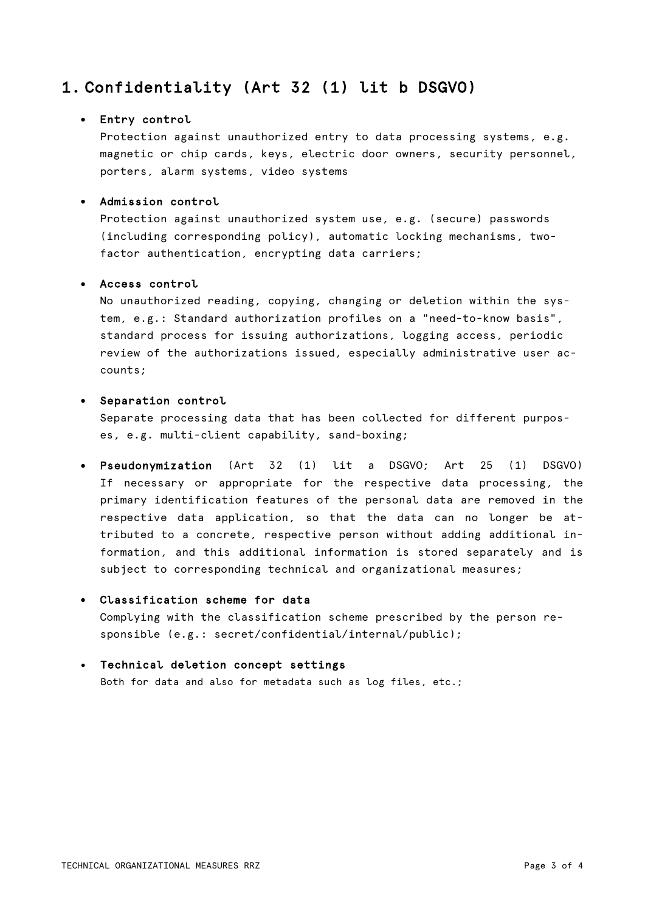# 1. Confidentiality (Art 32 (1) lit b DSGVO)

#### • Entry control

Protection against unauthorized entry to data processing systems, e.g. magnetic or chip cards, keys, electric door owners, security personnel, porters, alarm systems, video systems

#### • Admission control

Protection against unauthorized system use, e.g. (secure) passwords (including corresponding policy), automatic locking mechanisms, twofactor authentication, encrypting data carriers;

#### • Access control

No unauthorized reading, copying, changing or deletion within the system, e.g.: Standard authorization profiles on a "need-to-know basis", standard process for issuing authorizations, logging access, periodic review of the authorizations issued, especially administrative user accounts;

#### • Separation control

Separate processing data that has been collected for different purposes, e.g. multi-client capability, sand-boxing;

• Pseudonymization (Art 32 (1) lit a DSGVO; Art 25 (1) DSGVO) If necessary or appropriate for the respective data processing, the primary identification features of the personal data are removed in the respective data application, so that the data can no longer be attributed to a concrete, respective person without adding additional information, and this additional information is stored separately and is subject to corresponding technical and organizational measures;

#### • Classification scheme for data

Complying with the classification scheme prescribed by the person responsible (e.g.: secret/confidential/internal/public);

#### • Technical deletion concept settings

Both for data and also for metadata such as log files, etc.;